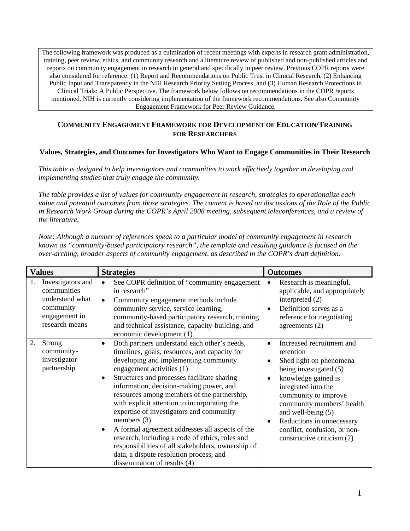The following framework was produced as a culmination of recent meetings with experts in research grant administration , training, peer review, ethics, and community research and a literature review of published and non-published articles and reports on community engagement in research in general and specifically in peer review. Previous COPR reports were also considered for reference: (1) Report and Recommendations on Public Trust in Clinical Research, (2) Enhancing Public Input and Transparency in the NIH Research Priority Setting Process, and (3) Human Research Protections in Clinical Trials: A Public Perspective. The framework below follows on recommendations in the COPR reports mentioned. NIH is currently considering implementation of the framework recommendations. See also Community Engagement Framework for Peer Review Guidance.

## **COMMUNITY ENGAGEMENT FRAMEWORK FOR DEVELOPMENT OF EDUCATION/TRAINING FOR RESEARCHERS**

## **Values, Strategies, and Outcomes for Investigators Who Want to Engage Communities in Their Research**

*This table is designed to help investigators and communities to work effectively together in developing and implementing studies that truly engage the community.* 

*The table provides a list of values for community engagement in research, strategies to operationalize each value and potential outcomes from those strategies. The content is based on discussions of the Role of the Public in Research Work Group during the COPR's April 2008 meeting, subsequent teleconferences, and a review of the literature.* 

*Note: Although a number of references speak to a particular model of community engagement in research known as "community-based participatory research", the template and resulting guidance is focused on the over-arching, broader aspects of community engagement, as described in the COPR's draft definition.* 

| <b>Values</b>                                                                                             | <b>Strategies</b>                                                                                                                                                                                                                                                                                                                                                                                                                                                                                                                                                                                                                                                                                       | <b>Outcomes</b>                                                                                                                                                                                                                                                                                                                                                       |
|-----------------------------------------------------------------------------------------------------------|---------------------------------------------------------------------------------------------------------------------------------------------------------------------------------------------------------------------------------------------------------------------------------------------------------------------------------------------------------------------------------------------------------------------------------------------------------------------------------------------------------------------------------------------------------------------------------------------------------------------------------------------------------------------------------------------------------|-----------------------------------------------------------------------------------------------------------------------------------------------------------------------------------------------------------------------------------------------------------------------------------------------------------------------------------------------------------------------|
| Investigators and<br>1.<br>communities<br>understand what<br>community<br>engagement in<br>research means | See COPR definition of "community engagement<br>$\bullet$<br>in research"<br>Community engagement methods include<br>$\bullet$<br>community service, service-learning,<br>community-based participatory research, training<br>and technical assistance, capacity-building, and<br>economic development (1)                                                                                                                                                                                                                                                                                                                                                                                              | Research is meaningful,<br>$\bullet$<br>applicable, and appropriately<br>interpreted $(2)$<br>Definition serves as a<br>reference for negotiating<br>agreements $(2)$                                                                                                                                                                                                 |
| 2.<br>Strong<br>community-<br>investigator<br>partnership                                                 | Both partners understand each other's needs,<br>$\bullet$<br>timelines, goals, resources, and capacity for<br>developing and implementing community<br>engagement activities (1)<br>Structures and processes facilitate sharing<br>$\bullet$<br>information, decision-making power, and<br>resources among members of the partnership,<br>with explicit attention to incorporating the<br>expertise of investigators and community<br>members $(3)$<br>A formal agreement addresses all aspects of the<br>$\bullet$<br>research, including a code of ethics, roles and<br>responsibilities of all stakeholders, ownership of<br>data, a dispute resolution process, and<br>dissemination of results (4) | Increased recruitment and<br>$\bullet$<br>retention<br>Shed light on phenomena<br>$\bullet$<br>being investigated (5)<br>knowledge gained is<br>$\bullet$<br>integrated into the<br>community to improve<br>community members' health<br>and well-being $(5)$<br>Reductions in unnecessary<br>$\bullet$<br>conflict, confusion, or non-<br>constructive criticism (2) |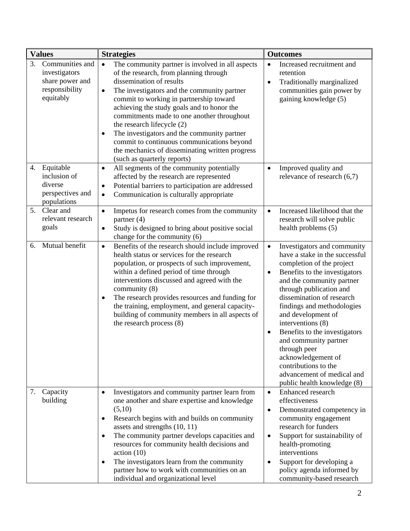|    | <b>Values</b>                                                                      | <b>Strategies</b>                                                                                                                                                                                                                                                                                                                                                                                                                                                                                                                                   | <b>Outcomes</b>                                                                                                                                                                                                                                                                                                                                                                                                                                                                                                       |
|----|------------------------------------------------------------------------------------|-----------------------------------------------------------------------------------------------------------------------------------------------------------------------------------------------------------------------------------------------------------------------------------------------------------------------------------------------------------------------------------------------------------------------------------------------------------------------------------------------------------------------------------------------------|-----------------------------------------------------------------------------------------------------------------------------------------------------------------------------------------------------------------------------------------------------------------------------------------------------------------------------------------------------------------------------------------------------------------------------------------------------------------------------------------------------------------------|
| 3. | Communities and<br>investigators<br>share power and<br>responsibility<br>equitably | The community partner is involved in all aspects<br>of the research, from planning through<br>dissemination of results<br>The investigators and the community partner<br>$\bullet$<br>commit to working in partnership toward<br>achieving the study goals and to honor the<br>commitments made to one another throughout<br>the research lifecycle (2)<br>The investigators and the community partner<br>$\bullet$<br>commit to continuous communications beyond<br>the mechanics of disseminating written progress<br>(such as quarterly reports) | Increased recruitment and<br>$\bullet$<br>retention<br>Traditionally marginalized<br>$\bullet$<br>communities gain power by<br>gaining knowledge (5)                                                                                                                                                                                                                                                                                                                                                                  |
|    | 4. Equitable<br>inclusion of<br>diverse<br>perspectives and<br>populations         | All segments of the community potentially<br>$\bullet$<br>affected by the research are represented<br>Potential barriers to participation are addressed<br>$\bullet$<br>Communication is culturally appropriate<br>$\bullet$                                                                                                                                                                                                                                                                                                                        | Improved quality and<br>$\bullet$<br>relevance of research $(6,7)$                                                                                                                                                                                                                                                                                                                                                                                                                                                    |
|    | 5. Clear and<br>relevant research<br>goals                                         | Impetus for research comes from the community<br>$\bullet$<br>partner $(4)$<br>Study is designed to bring about positive social<br>$\bullet$<br>change for the community (6)                                                                                                                                                                                                                                                                                                                                                                        | Increased likelihood that the<br>$\bullet$<br>research will solve public<br>health problems (5)                                                                                                                                                                                                                                                                                                                                                                                                                       |
| 6. | Mutual benefit                                                                     | Benefits of the research should include improved<br>$\bullet$<br>health status or services for the research<br>population, or prospects of such improvement,<br>within a defined period of time through<br>interventions discussed and agreed with the<br>community $(8)$<br>The research provides resources and funding for<br>$\bullet$<br>the training, employment, and general capacity-<br>building of community members in all aspects of<br>the research process (8)                                                                         | Investigators and community<br>$\bullet$<br>have a stake in the successful<br>completion of the project<br>Benefits to the investigators<br>$\bullet$<br>and the community partner<br>through publication and<br>dissemination of research<br>findings and methodologies<br>and development of<br>interventions (8)<br>Benefits to the investigators<br>$\bullet$<br>and community partner<br>through peer<br>acknowledgement of<br>contributions to the<br>advancement of medical and<br>public health knowledge (8) |
|    | 7. Capacity<br>building                                                            | Investigators and community partner learn from<br>$\bullet$<br>one another and share expertise and knowledge<br>(5,10)<br>Research begins with and builds on community<br>$\bullet$<br>assets and strengths (10, 11)<br>The community partner develops capacities and<br>$\bullet$<br>resources for community health decisions and<br>action(10)<br>The investigators learn from the community<br>$\bullet$<br>partner how to work with communities on an<br>individual and organizational level                                                    | Enhanced research<br>$\bullet$<br>effectiveness<br>Demonstrated competency in<br>$\bullet$<br>community engagement<br>research for funders<br>Support for sustainability of<br>$\bullet$<br>health-promoting<br>interventions<br>Support for developing a<br>$\bullet$<br>policy agenda informed by<br>community-based research                                                                                                                                                                                       |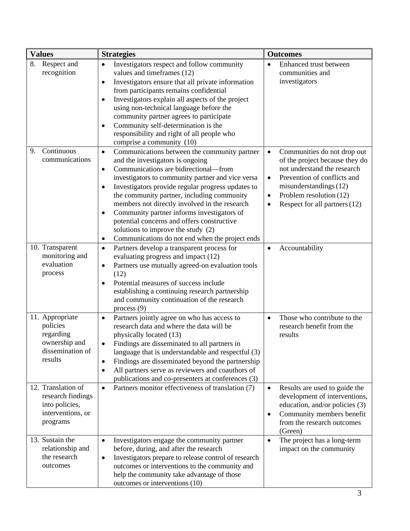| <b>Values</b>                                                                              | <b>Strategies</b>                                                                                                                                                                                                                                                                                                                                                                                                                                                                                                                                                                        | <b>Outcomes</b>                                                                                                                                                                                                                                                       |
|--------------------------------------------------------------------------------------------|------------------------------------------------------------------------------------------------------------------------------------------------------------------------------------------------------------------------------------------------------------------------------------------------------------------------------------------------------------------------------------------------------------------------------------------------------------------------------------------------------------------------------------------------------------------------------------------|-----------------------------------------------------------------------------------------------------------------------------------------------------------------------------------------------------------------------------------------------------------------------|
| 8.<br>Respect and<br>recognition                                                           | Investigators respect and follow community<br>$\bullet$<br>values and timeframes (12)<br>Investigators ensure that all private information<br>$\bullet$<br>from participants remains confidential<br>Investigators explain all aspects of the project<br>using non-technical language before the<br>community partner agrees to participate<br>Community self-determination is the<br>$\bullet$<br>responsibility and right of all people who<br>comprise a community (10)                                                                                                               | Enhanced trust between<br>$\bullet$<br>communities and<br>investigators                                                                                                                                                                                               |
| 9. Continuous<br>communications                                                            | Communications between the community partner<br>$\bullet$<br>and the investigators is ongoing<br>Communications are bidirectional—from<br>$\bullet$<br>investigators to community partner and vice versa<br>Investigators provide regular progress updates to<br>$\bullet$<br>the community partner, including community<br>members not directly involved in the research<br>Community partner informs investigators of<br>$\bullet$<br>potential concerns and offers constructive<br>solutions to improve the study (2)<br>Communications do not end when the project ends<br>$\bullet$ | Communities do not drop out<br>$\bullet$<br>of the project because they do<br>not understand the research<br>Prevention of conflicts and<br>$\bullet$<br>misunderstandings (12)<br>Problem resolution (12)<br>$\bullet$<br>Respect for all partners (12)<br>$\bullet$ |
| 10. Transparent<br>monitoring and<br>evaluation<br>process                                 | Partners develop a transparent process for<br>$\bullet$<br>evaluating progress and impact (12)<br>Partners use mutually agreed-on evaluation tools<br>$\bullet$<br>(12)<br>Potential measures of success include<br>$\bullet$<br>establishing a continuing research partnership<br>and community continuation of the research<br>process $(9)$                                                                                                                                                                                                                                           | Accountability<br>$\bullet$                                                                                                                                                                                                                                           |
| 11. Appropriate<br>policies<br>regarding<br>ownership and<br>dissemination of<br>results   | Partners jointly agree on who has access to<br>$\bullet$<br>research data and where the data will be<br>physically located (13)<br>Findings are disseminated to all partners in<br>$\bullet$<br>language that is understandable and respectful (3)<br>Findings are disseminated beyond the partnership<br>٠<br>All partners serve as reviewers and coauthors of<br>$\bullet$<br>publications and co-presenters at conferences (3)                                                                                                                                                        | Those who contribute to the<br>$\bullet$<br>research benefit from the<br>results                                                                                                                                                                                      |
| 12. Translation of<br>research findings<br>into policies,<br>interventions, or<br>programs | Partners monitor effectiveness of translation (7)<br>$\bullet$                                                                                                                                                                                                                                                                                                                                                                                                                                                                                                                           | Results are used to guide the<br>$\bullet$<br>development of interventions,<br>education, and/or policies (3)<br>Community members benefit<br>$\bullet$<br>from the research outcomes<br>(Green)                                                                      |
| 13. Sustain the<br>relationship and<br>the research<br>outcomes                            | Investigators engage the community partner<br>$\bullet$<br>before, during, and after the research<br>Investigators prepare to release control of research<br>٠<br>outcomes or interventions to the community and<br>help the community take advantage of those<br>outcomes or interventions (10)                                                                                                                                                                                                                                                                                         | The project has a long-term<br>$\bullet$<br>impact on the community                                                                                                                                                                                                   |